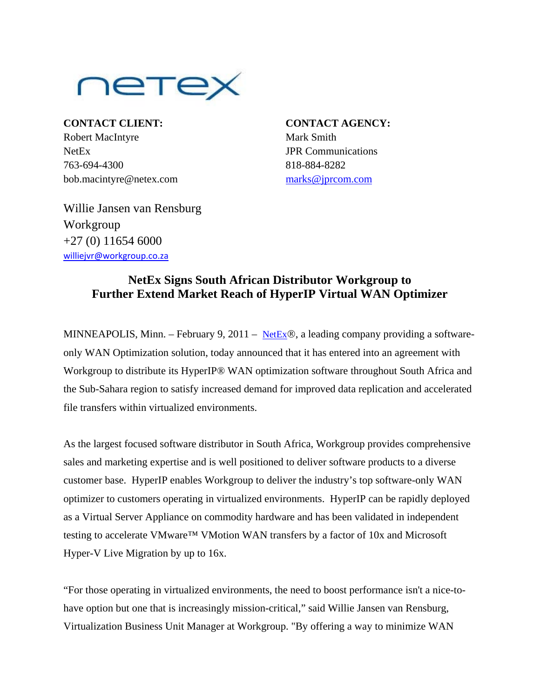

**CONTACT CLIENT: CONTACT AGENCY:** Robert MacIntyre Mark Smith NetEx JPR Communications 763-694-4300 818-884-8282 bob.macintyre@netex.com [marks@jprcom.com](mailto:marks@jprcom.com)

Willie Jansen van Rensburg Workgroup  $+27(0)$  11654 6000 [williejvr@workgroup.co.za](mailto:williejvr@workgroup.co.za)

## **NetEx Signs South African Distributor Workgroup to Further Extend Market Reach of HyperIP Virtual WAN Optimizer**

MINNEAPOLIS, Minn. – February 9, 2011 – [NetEx](http://www.netex.com/)®, a leading company providing a softwareonly WAN Optimization solution, today announced that it has entered into an agreement with Workgroup to distribute its HyperIP® WAN optimization software throughout South Africa and the Sub-Sahara region to satisfy increased demand for improved data replication and accelerated file transfers within virtualized environments.

As the largest focused software distributor in South Africa, Workgroup provides comprehensive sales and marketing expertise and is well positioned to deliver software products to a diverse customer base. HyperIP enables Workgroup to deliver the industry's top software-only WAN optimizer to customers operating in virtualized environments. HyperIP can be rapidly deployed as a Virtual Server Appliance on commodity hardware and has been validated in independent testing to accelerate VMware™ VMotion WAN transfers by a factor of 10x and Microsoft Hyper-V Live Migration by up to 16x.

"For those operating in virtualized environments, the need to boost performance isn't a nice-tohave option but one that is increasingly mission-critical," said Willie Jansen van Rensburg, Virtualization Business Unit Manager at Workgroup. "By offering a way to minimize WAN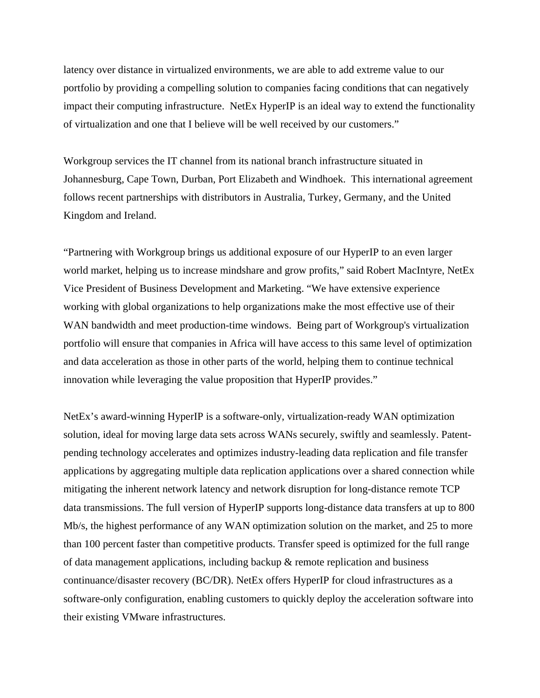latency over distance in virtualized environments, we are able to add extreme value to our portfolio by providing a compelling solution to companies facing conditions that can negatively impact their computing infrastructure. NetEx HyperIP is an ideal way to extend the functionality of virtualization and one that I believe will be well received by our customers."

Workgroup services the IT channel from its national branch infrastructure situated in Johannesburg, Cape Town, Durban, Port Elizabeth and Windhoek. This international agreement follows recent partnerships with distributors in Australia, Turkey, Germany, and the United Kingdom and Ireland.

"Partnering with Workgroup brings us additional exposure of our HyperIP to an even larger world market, helping us to increase mindshare and grow profits," said Robert MacIntyre, NetEx Vice President of Business Development and Marketing. "We have extensive experience working with global organizations to help organizations make the most effective use of their WAN bandwidth and meet production-time windows. Being part of Workgroup's virtualization portfolio will ensure that companies in Africa will have access to this same level of optimization and data acceleration as those in other parts of the world, helping them to continue technical innovation while leveraging the value proposition that HyperIP provides."

NetEx's award-winning HyperIP is a software-only, virtualization-ready WAN optimization solution, ideal for moving large data sets across WANs securely, swiftly and seamlessly. Patentpending technology accelerates and optimizes industry-leading data replication and file transfer applications by aggregating multiple data replication applications over a shared connection while mitigating the inherent network latency and network disruption for long-distance remote TCP data transmissions. The full version of HyperIP supports long-distance data transfers at up to 800 Mb/s, the highest performance of any WAN optimization solution on the market, and 25 to more than 100 percent faster than competitive products. Transfer speed is optimized for the full range of data management applications, including backup & remote replication and business continuance/disaster recovery (BC/DR). NetEx offers HyperIP for cloud infrastructures as a software-only configuration, enabling customers to quickly deploy the acceleration software into their existing VMware infrastructures.